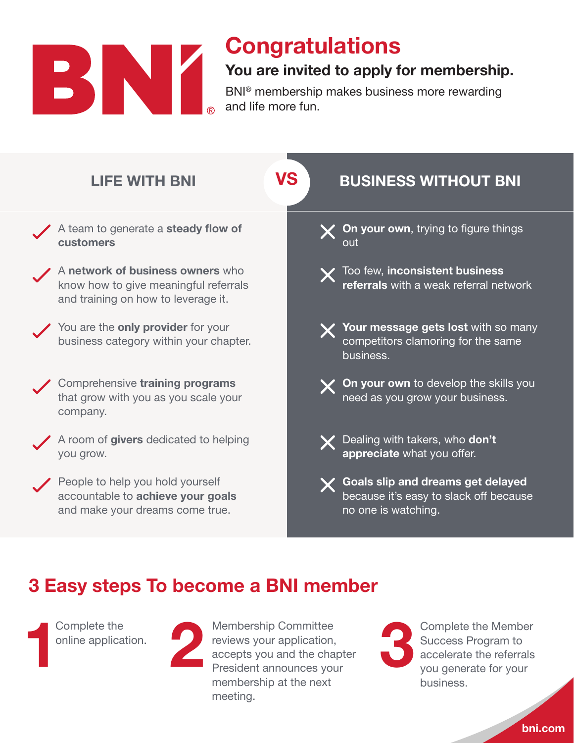

## **Congratulations**

## You are invited to apply for membership.

BNI® membership makes business more rewarding and life more fun.



accepts you and the chapter President announces your membership at the next

meeting.

bni.com

accelerate the referrals you generate for your

business.